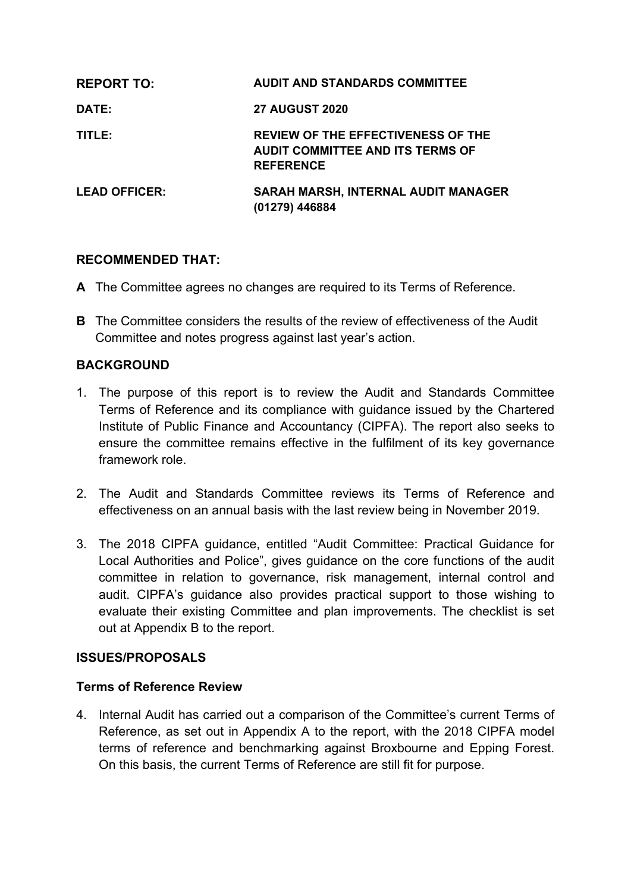| <b>REPORT TO:</b>    | <b>AUDIT AND STANDARDS COMMITTEE</b>                                                                     |
|----------------------|----------------------------------------------------------------------------------------------------------|
| DATE:                | <b>27 AUGUST 2020</b>                                                                                    |
| TITLE:               | <b>REVIEW OF THE EFFECTIVENESS OF THE</b><br><b>AUDIT COMMITTEE AND ITS TERMS OF</b><br><b>REFERENCE</b> |
| <b>LEAD OFFICER:</b> | <b>SARAH MARSH, INTERNAL AUDIT MANAGER</b><br>(01279) 446884                                             |

## **RECOMMENDED THAT:**

- **A** The Committee agrees no changes are required to its Terms of Reference.
- **B** The Committee considers the results of the review of effectiveness of the Audit Committee and notes progress against last year's action.

#### **BACKGROUND**

- 1. The purpose of this report is to review the Audit and Standards Committee Terms of Reference and its compliance with guidance issued by the Chartered Institute of Public Finance and Accountancy (CIPFA). The report also seeks to ensure the committee remains effective in the fulfilment of its key governance framework role.
- 2. The Audit and Standards Committee reviews its Terms of Reference and effectiveness on an annual basis with the last review being in November 2019.
- 3. The 2018 CIPFA guidance, entitled "Audit Committee: Practical Guidance for Local Authorities and Police", gives guidance on the core functions of the audit committee in relation to governance, risk management, internal control and audit. CIPFA's guidance also provides practical support to those wishing to evaluate their existing Committee and plan improvements. The checklist is set out at Appendix B to the report.

#### **ISSUES/PROPOSALS**

#### **Terms of Reference Review**

4. Internal Audit has carried out a comparison of the Committee's current Terms of Reference, as set out in Appendix A to the report, with the 2018 CIPFA model terms of reference and benchmarking against Broxbourne and Epping Forest. On this basis, the current Terms of Reference are still fit for purpose.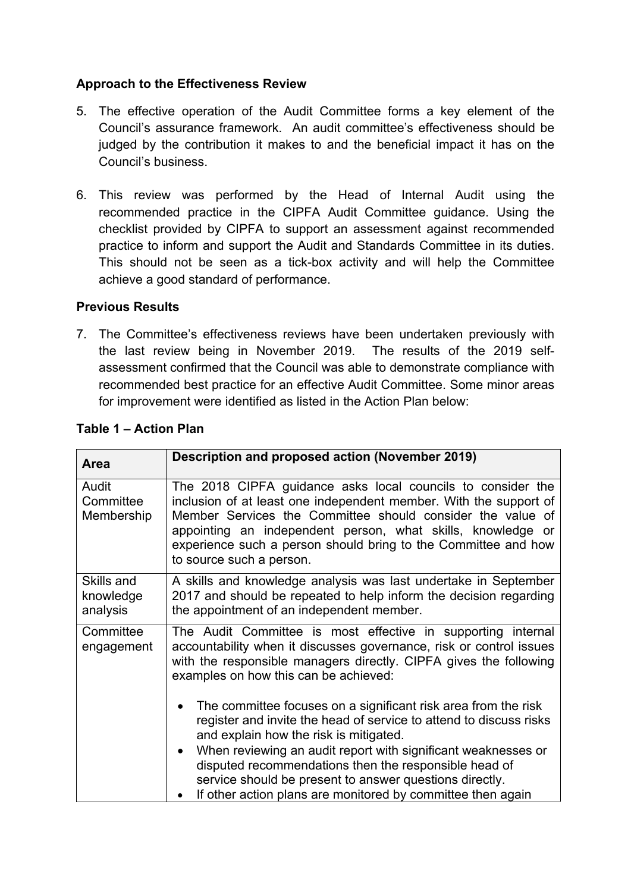## **Approach to the Effectiveness Review**

- 5. The effective operation of the Audit Committee forms a key element of the Council's assurance framework. An audit committee's effectiveness should be judged by the contribution it makes to and the beneficial impact it has on the Council's business.
- 6. This review was performed by the Head of Internal Audit using the recommended practice in the CIPFA Audit Committee guidance. Using the checklist provided by CIPFA to support an assessment against recommended practice to inform and support the Audit and Standards Committee in its duties. This should not be seen as a tick-box activity and will help the Committee achieve a good standard of performance.

## **Previous Results**

7. The Committee's effectiveness reviews have been undertaken previously with the last review being in November 2019. The results of the 2019 selfassessment confirmed that the Council was able to demonstrate compliance with recommended best practice for an effective Audit Committee. Some minor areas for improvement were identified as listed in the Action Plan below:

| <b>Area</b>                         | Description and proposed action (November 2019)                                                                                                                                                                                                                                                                                                             |
|-------------------------------------|-------------------------------------------------------------------------------------------------------------------------------------------------------------------------------------------------------------------------------------------------------------------------------------------------------------------------------------------------------------|
| Audit<br>Committee<br>Membership    | The 2018 CIPFA guidance asks local councils to consider the<br>inclusion of at least one independent member. With the support of<br>Member Services the Committee should consider the value of<br>appointing an independent person, what skills, knowledge or<br>experience such a person should bring to the Committee and how<br>to source such a person. |
| Skills and<br>knowledge<br>analysis | A skills and knowledge analysis was last undertake in September<br>2017 and should be repeated to help inform the decision regarding<br>the appointment of an independent member.                                                                                                                                                                           |
| Committee<br>engagement             | The Audit Committee is most effective in supporting internal<br>accountability when it discusses governance, risk or control issues<br>with the responsible managers directly. CIPFA gives the following<br>examples on how this can be achieved:                                                                                                           |
|                                     | The committee focuses on a significant risk area from the risk<br>register and invite the head of service to attend to discuss risks<br>and explain how the risk is mitigated.                                                                                                                                                                              |
|                                     | When reviewing an audit report with significant weaknesses or<br>disputed recommendations then the responsible head of<br>service should be present to answer questions directly.<br>If other action plans are monitored by committee then again                                                                                                            |

## **Table 1 – Action Plan**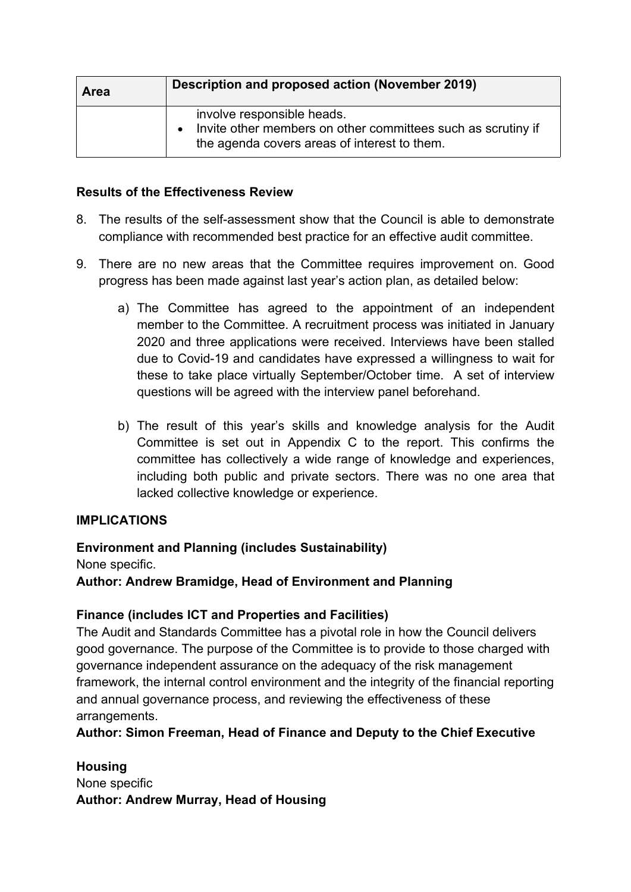| Area | Description and proposed action (November 2019)                                                                                                         |
|------|---------------------------------------------------------------------------------------------------------------------------------------------------------|
|      | involve responsible heads.<br>Invite other members on other committees such as scrutiny if<br>$\bullet$<br>the agenda covers areas of interest to them. |

#### **Results of the Effectiveness Review**

- 8. The results of the self-assessment show that the Council is able to demonstrate compliance with recommended best practice for an effective audit committee.
- 9. There are no new areas that the Committee requires improvement on. Good progress has been made against last year's action plan, as detailed below:
	- a) The Committee has agreed to the appointment of an independent member to the Committee. A recruitment process was initiated in January 2020 and three applications were received. Interviews have been stalled due to Covid-19 and candidates have expressed a willingness to wait for these to take place virtually September/October time. A set of interview questions will be agreed with the interview panel beforehand.
	- b) The result of this year's skills and knowledge analysis for the Audit Committee is set out in Appendix C to the report. This confirms the committee has collectively a wide range of knowledge and experiences, including both public and private sectors. There was no one area that lacked collective knowledge or experience.

## **IMPLICATIONS**

## **Environment and Planning (includes Sustainability)**

None specific.

**Author: Andrew Bramidge, Head of Environment and Planning**

## **Finance (includes ICT and Properties and Facilities)**

The Audit and Standards Committee has a pivotal role in how the Council delivers good governance. The purpose of the Committee is to provide to those charged with governance independent assurance on the adequacy of the risk management framework, the internal control environment and the integrity of the financial reporting and annual governance process, and reviewing the effectiveness of these arrangements.

**Author: Simon Freeman, Head of Finance and Deputy to the Chief Executive**

**Housing** None specific **Author: Andrew Murray, Head of Housing**